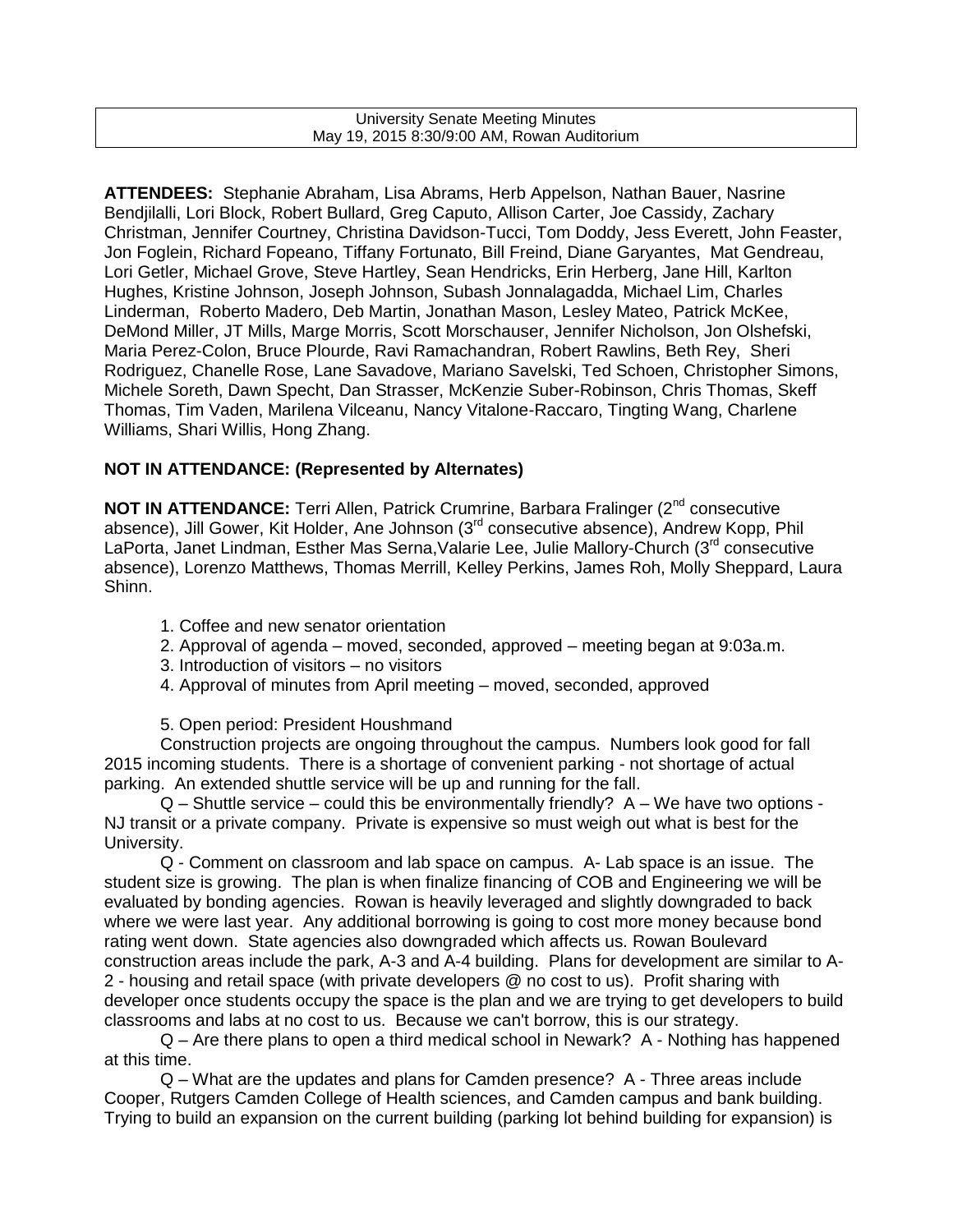#### University Senate Meeting Minutes May 19, 2015 8:30/9:00 AM, Rowan Auditorium

**ATTENDEES:** Stephanie Abraham, Lisa Abrams, Herb Appelson, Nathan Bauer, Nasrine Bendjilalli, Lori Block, Robert Bullard, Greg Caputo, Allison Carter, Joe Cassidy, Zachary Christman, Jennifer Courtney, Christina Davidson-Tucci, Tom Doddy, Jess Everett, John Feaster, Jon Foglein, Richard Fopeano, Tiffany Fortunato, Bill Freind, Diane Garyantes, Mat Gendreau, Lori Getler, Michael Grove, Steve Hartley, Sean Hendricks, Erin Herberg, Jane Hill, Karlton Hughes, Kristine Johnson, Joseph Johnson, Subash Jonnalagadda, Michael Lim, Charles Linderman, Roberto Madero, Deb Martin, Jonathan Mason, Lesley Mateo, Patrick McKee, DeMond Miller, JT Mills, Marge Morris, Scott Morschauser, Jennifer Nicholson, Jon Olshefski, Maria Perez-Colon, Bruce Plourde, Ravi Ramachandran, Robert Rawlins, Beth Rey, Sheri Rodriguez, Chanelle Rose, Lane Savadove, Mariano Savelski, Ted Schoen, Christopher Simons, Michele Soreth, Dawn Specht, Dan Strasser, McKenzie Suber-Robinson, Chris Thomas, Skeff Thomas, Tim Vaden, Marilena Vilceanu, Nancy Vitalone-Raccaro, Tingting Wang, Charlene Williams, Shari Willis, Hong Zhang.

### **NOT IN ATTENDANCE: (Represented by Alternates)**

**NOT IN ATTENDANCE:** Terri Allen, Patrick Crumrine, Barbara Fralinger (2<sup>nd</sup> consecutive absence), Jill Gower, Kit Holder, Ane Johnson (3rd consecutive absence), Andrew Kopp, Phil LaPorta, Janet Lindman, Esther Mas Serna, Valarie Lee, Julie Mallory-Church (3<sup>rd</sup> consecutive absence), Lorenzo Matthews, Thomas Merrill, Kelley Perkins, James Roh, Molly Sheppard, Laura Shinn.

- 1. Coffee and new senator orientation
- 2. Approval of agenda moved, seconded, approved meeting began at 9:03a.m.
- 3. Introduction of visitors no visitors
- 4. Approval of minutes from April meeting moved, seconded, approved

#### 5. Open period: President Houshmand

Construction projects are ongoing throughout the campus. Numbers look good for fall 2015 incoming students. There is a shortage of convenient parking - not shortage of actual parking. An extended shuttle service will be up and running for the fall.

 $Q$  – Shuttle service – could this be environmentally friendly?  $A - We$  have two options -NJ transit or a private company. Private is expensive so must weigh out what is best for the University.

Q - Comment on classroom and lab space on campus. A- Lab space is an issue. The student size is growing. The plan is when finalize financing of COB and Engineering we will be evaluated by bonding agencies. Rowan is heavily leveraged and slightly downgraded to back where we were last year. Any additional borrowing is going to cost more money because bond rating went down. State agencies also downgraded which affects us. Rowan Boulevard construction areas include the park, A-3 and A-4 building. Plans for development are similar to A-2 - housing and retail space (with private developers @ no cost to us). Profit sharing with developer once students occupy the space is the plan and we are trying to get developers to build classrooms and labs at no cost to us. Because we can't borrow, this is our strategy.

Q – Are there plans to open a third medical school in Newark? A - Nothing has happened at this time.

Q – What are the updates and plans for Camden presence? A - Three areas include Cooper, Rutgers Camden College of Health sciences, and Camden campus and bank building. Trying to build an expansion on the current building (parking lot behind building for expansion) is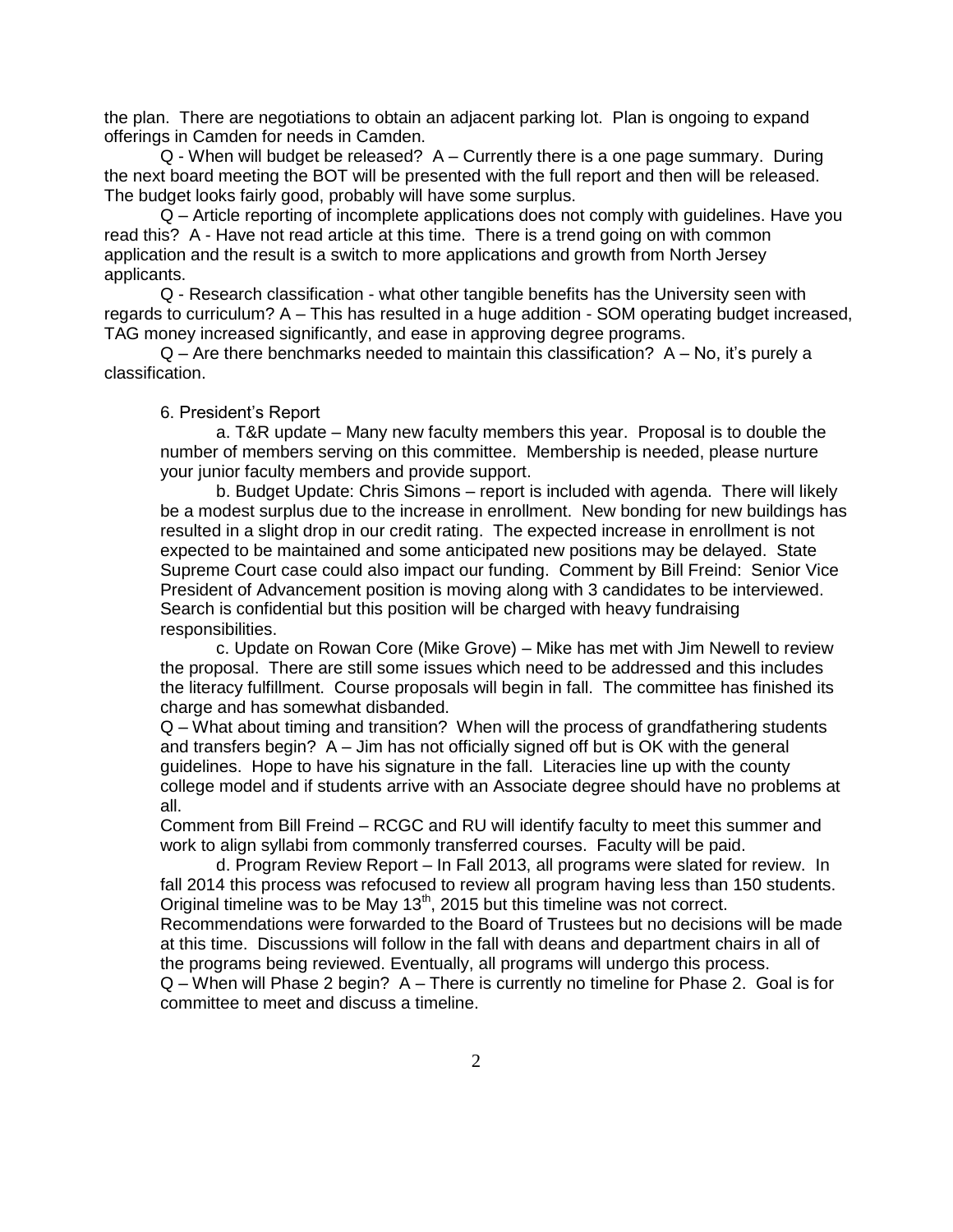the plan. There are negotiations to obtain an adjacent parking lot. Plan is ongoing to expand offerings in Camden for needs in Camden.

Q - When will budget be released? A – Currently there is a one page summary. During the next board meeting the BOT will be presented with the full report and then will be released. The budget looks fairly good, probably will have some surplus.

Q – Article reporting of incomplete applications does not comply with guidelines. Have you read this? A - Have not read article at this time. There is a trend going on with common application and the result is a switch to more applications and growth from North Jersey applicants.

Q - Research classification - what other tangible benefits has the University seen with regards to curriculum? A – This has resulted in a huge addition - SOM operating budget increased, TAG money increased significantly, and ease in approving degree programs.

 $Q$  – Are there benchmarks needed to maintain this classification?  $A - No$ , it's purely a classification.

#### 6. President's Report

a. T&R update – Many new faculty members this year. Proposal is to double the number of members serving on this committee. Membership is needed, please nurture your junior faculty members and provide support.

b. Budget Update: Chris Simons – report is included with agenda. There will likely be a modest surplus due to the increase in enrollment. New bonding for new buildings has resulted in a slight drop in our credit rating. The expected increase in enrollment is not expected to be maintained and some anticipated new positions may be delayed. State Supreme Court case could also impact our funding. Comment by Bill Freind: Senior Vice President of Advancement position is moving along with 3 candidates to be interviewed. Search is confidential but this position will be charged with heavy fundraising responsibilities.

c. Update on Rowan Core (Mike Grove) – Mike has met with Jim Newell to review the proposal. There are still some issues which need to be addressed and this includes the literacy fulfillment. Course proposals will begin in fall. The committee has finished its charge and has somewhat disbanded.

Q – What about timing and transition? When will the process of grandfathering students and transfers begin?  $A -$  Jim has not officially signed off but is OK with the general guidelines. Hope to have his signature in the fall. Literacies line up with the county college model and if students arrive with an Associate degree should have no problems at all.

Comment from Bill Freind – RCGC and RU will identify faculty to meet this summer and work to align syllabi from commonly transferred courses. Faculty will be paid.

d. Program Review Report – In Fall 2013, all programs were slated for review. In fall 2014 this process was refocused to review all program having less than 150 students. Original timeline was to be May  $13<sup>th</sup>$ , 2015 but this timeline was not correct.

Recommendations were forwarded to the Board of Trustees but no decisions will be made at this time. Discussions will follow in the fall with deans and department chairs in all of the programs being reviewed. Eventually, all programs will undergo this process.

Q – When will Phase 2 begin? A – There is currently no timeline for Phase 2. Goal is for committee to meet and discuss a timeline.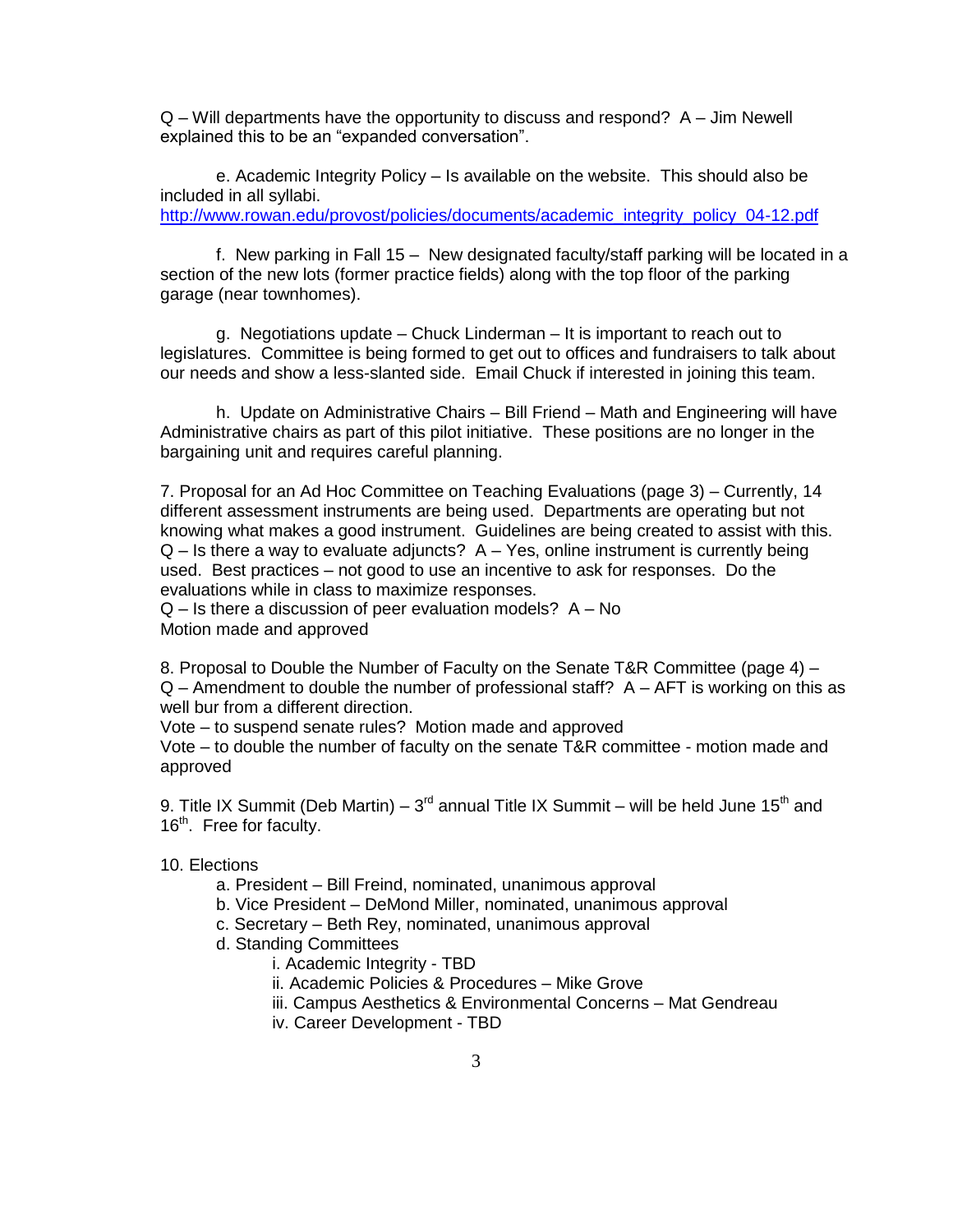$Q$  – Will departments have the opportunity to discuss and respond?  $A$  – Jim Newell explained this to be an "expanded conversation".

e. Academic Integrity Policy – Is available on the website. This should also be included in all syllabi. [http://www.rowan.edu/provost/policies/documents/academic\\_integrity\\_policy\\_04-12.pdf](http://www.rowan.edu/provost/policies/documents/academic_integrity_policy_04-12.pdf)

f. New parking in Fall 15 – New designated faculty/staff parking will be located in a section of the new lots (former practice fields) along with the top floor of the parking garage (near townhomes).

g. Negotiations update – Chuck Linderman – It is important to reach out to legislatures. Committee is being formed to get out to offices and fundraisers to talk about our needs and show a less-slanted side. Email Chuck if interested in joining this team.

h. Update on Administrative Chairs – Bill Friend – Math and Engineering will have Administrative chairs as part of this pilot initiative. These positions are no longer in the bargaining unit and requires careful planning.

7. Proposal for an Ad Hoc Committee on Teaching Evaluations (page 3) – Currently, 14 different assessment instruments are being used. Departments are operating but not knowing what makes a good instrument. Guidelines are being created to assist with this.  $Q - Is$  there a way to evaluate adjuncts?  $A - Yes$ , online instrument is currently being used. Best practices – not good to use an incentive to ask for responses. Do the evaluations while in class to maximize responses.

Q – Is there a discussion of peer evaluation models? A – No Motion made and approved

8. Proposal to Double the Number of Faculty on the Senate T&R Committee (page 4) –  $Q$  – Amendment to double the number of professional staff?  $A$  – AFT is working on this as well bur from a different direction.

Vote – to suspend senate rules? Motion made and approved

Vote – to double the number of faculty on the senate T&R committee - motion made and approved

9. Title IX Summit (Deb Martin) –  $3<sup>rd</sup>$  annual Title IX Summit – will be held June 15<sup>th</sup> and 16<sup>th</sup>. Free for faculty.

#### 10. Elections

- a. President Bill Freind, nominated, unanimous approval
- b. Vice President DeMond Miller, nominated, unanimous approval
- c. Secretary Beth Rey, nominated, unanimous approval
- d. Standing Committees
	- i. Academic Integrity TBD
	- ii. Academic Policies & Procedures Mike Grove
	- iii. Campus Aesthetics & Environmental Concerns Mat Gendreau
	- iv. Career Development TBD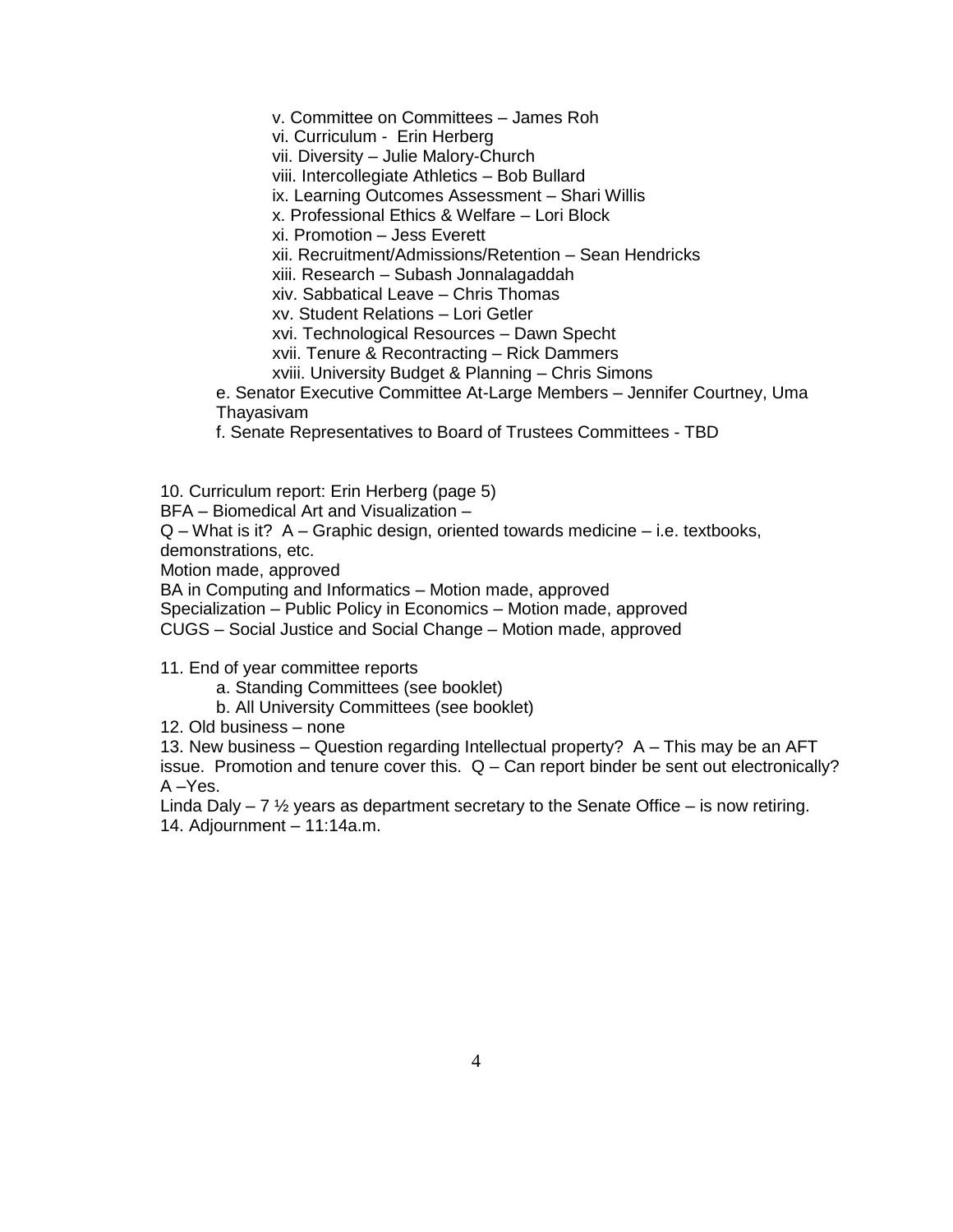v. Committee on Committees – James Roh

vi. Curriculum - Erin Herberg

vii. Diversity – Julie Malory-Church

viii. Intercollegiate Athletics – Bob Bullard

ix. Learning Outcomes Assessment – Shari Willis

x. Professional Ethics & Welfare – Lori Block

xi. Promotion – Jess Everett

xii. Recruitment/Admissions/Retention – Sean Hendricks

xiii. Research – Subash Jonnalagaddah

xiv. Sabbatical Leave – Chris Thomas

xv. Student Relations – Lori Getler

xvi. Technological Resources – Dawn Specht

xvii. Tenure & Recontracting – Rick Dammers

xviii. University Budget & Planning – Chris Simons

e. Senator Executive Committee At-Large Members – Jennifer Courtney, Uma Thayasivam

f. Senate Representatives to Board of Trustees Committees - TBD

10. Curriculum report: Erin Herberg (page 5)

BFA – Biomedical Art and Visualization –

Q – What is it? A – Graphic design, oriented towards medicine – i.e. textbooks, demonstrations, etc.

Motion made, approved

BA in Computing and Informatics – Motion made, approved

Specialization – Public Policy in Economics – Motion made, approved

CUGS – Social Justice and Social Change – Motion made, approved

11. End of year committee reports

- a. Standing Committees (see booklet)
- b. All University Committees (see booklet)

12. Old business – none

13. New business – Question regarding Intellectual property? A – This may be an AFT issue. Promotion and tenure cover this.  $Q - Can$  report binder be sent out electronically?  $A - Yes.$ 

Linda Daly – 7  $\frac{1}{2}$  years as department secretary to the Senate Office – is now retiring. 14. Adjournment – 11:14a.m.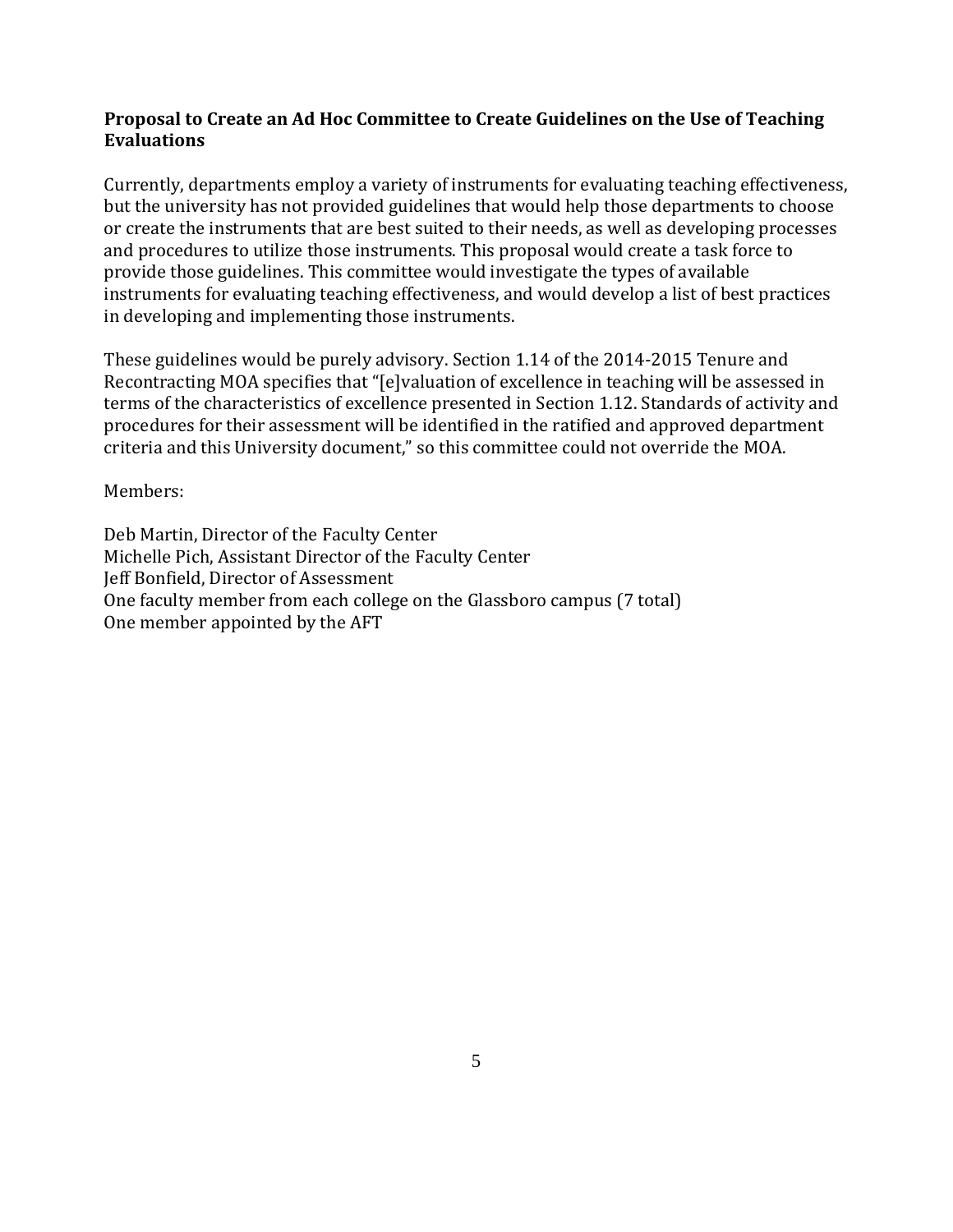# **Proposal to Create an Ad Hoc Committee to Create Guidelines on the Use of Teaching Evaluations**

Currently, departments employ a variety of instruments for evaluating teaching effectiveness, but the university has not provided guidelines that would help those departments to choose or create the instruments that are best suited to their needs, as well as developing processes and procedures to utilize those instruments. This proposal would create a task force to provide those guidelines. This committee would investigate the types of available instruments for evaluating teaching effectiveness, and would develop a list of best practices in developing and implementing those instruments.

These guidelines would be purely advisory. Section 1.14 of the 2014-2015 Tenure and Recontracting MOA specifies that "[e]valuation of excellence in teaching will be assessed in terms of the characteristics of excellence presented in Section 1.12. Standards of activity and procedures for their assessment will be identified in the ratified and approved department criteria and this University document," so this committee could not override the MOA.

Members:

Deb Martin, Director of the Faculty Center Michelle Pich, Assistant Director of the Faculty Center Jeff Bonfield, Director of Assessment One faculty member from each college on the Glassboro campus (7 total) One member appointed by the AFT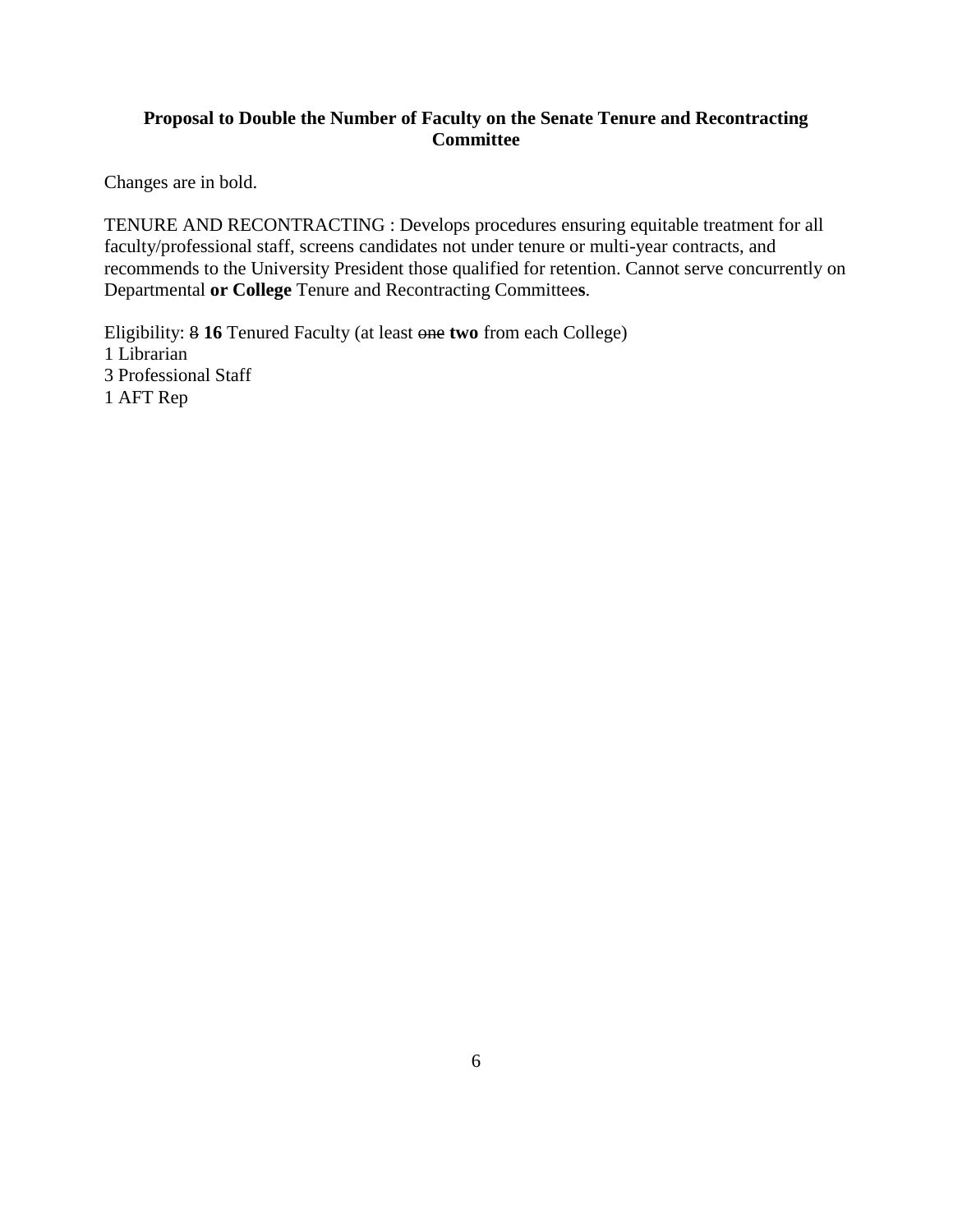## **Proposal to Double the Number of Faculty on the Senate Tenure and Recontracting Committee**

Changes are in bold.

TENURE AND RECONTRACTING : Develops procedures ensuring equitable treatment for all faculty/professional staff, screens candidates not under tenure or multi-year contracts, and recommends to the University President those qualified for retention. Cannot serve concurrently on Departmental **or College** Tenure and Recontracting Committee**s**.

Eligibility: 8 **16** Tenured Faculty (at least one **two** from each College) 1 Librarian 3 Professional Staff 1 AFT Rep